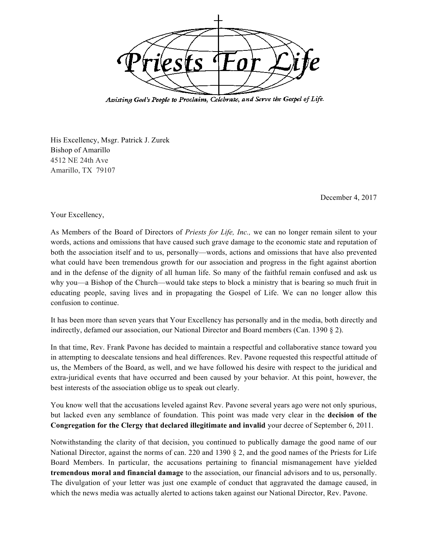

Assisting God's People to Proclaim, Celebrate, and Serve the Gospel of Life.

His Excellency, Msgr. Patrick J. Zurek Bishop of Amarillo 4512 NE 24th Ave Amarillo, TX 79107

December 4, 2017

Your Excellency,

As Members of the Board of Directors of *Priests for Life, Inc.,* we can no longer remain silent to your words, actions and omissions that have caused such grave damage to the economic state and reputation of both the association itself and to us, personally—words, actions and omissions that have also prevented what could have been tremendous growth for our association and progress in the fight against abortion and in the defense of the dignity of all human life. So many of the faithful remain confused and ask us why you—a Bishop of the Church—would take steps to block a ministry that is bearing so much fruit in educating people, saving lives and in propagating the Gospel of Life. We can no longer allow this confusion to continue.

It has been more than seven years that Your Excellency has personally and in the media, both directly and indirectly, defamed our association, our National Director and Board members (Can. 1390 § 2).

In that time, Rev. Frank Pavone has decided to maintain a respectful and collaborative stance toward you in attempting to deescalate tensions and heal differences. Rev. Pavone requested this respectful attitude of us, the Members of the Board, as well, and we have followed his desire with respect to the juridical and extra-juridical events that have occurred and been caused by your behavior. At this point, however, the best interests of the association oblige us to speak out clearly.

You know well that the accusations leveled against Rev. Pavone several years ago were not only spurious, but lacked even any semblance of foundation. This point was made very clear in the **decision of the Congregation for the Clergy that declared illegitimate and invalid** your decree of September 6, 2011.

Notwithstanding the clarity of that decision, you continued to publically damage the good name of our National Director, against the norms of can. 220 and 1390 § 2, and the good names of the Priests for Life Board Members. In particular, the accusations pertaining to financial mismanagement have yielded **tremendous moral and financial damage** to the association, our financial advisors and to us, personally. The divulgation of your letter was just one example of conduct that aggravated the damage caused, in which the news media was actually alerted to actions taken against our National Director, Rev. Pavone.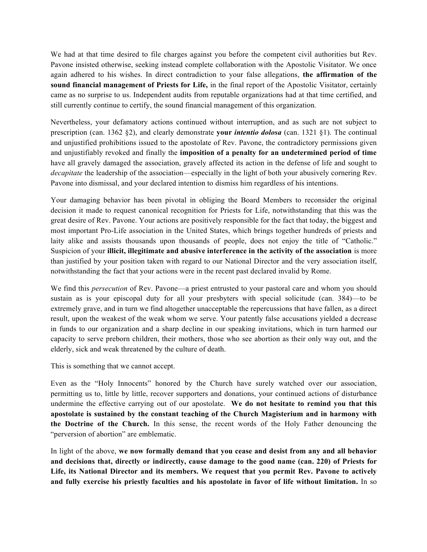We had at that time desired to file charges against you before the competent civil authorities but Rev. Pavone insisted otherwise, seeking instead complete collaboration with the Apostolic Visitator. We once again adhered to his wishes. In direct contradiction to your false allegations, **the affirmation of the sound financial management of Priests for Life,** in the final report of the Apostolic Visitator, certainly came as no surprise to us. Independent audits from reputable organizations had at that time certified, and still currently continue to certify, the sound financial management of this organization*.*

Nevertheless, your defamatory actions continued without interruption, and as such are not subject to prescription (can. 1362 §2), and clearly demonstrate **your** *intentio dolosa* (can. 1321 §1). The continual and unjustified prohibitions issued to the apostolate of Rev. Pavone, the contradictory permissions given and unjustifiably revoked and finally the **imposition of a penalty for an undetermined period of time** have all gravely damaged the association, gravely affected its action in the defense of life and sought to *decapitate* the leadership of the association—especially in the light of both your abusively cornering Rev. Pavone into dismissal, and your declared intention to dismiss him regardless of his intentions.

Your damaging behavior has been pivotal in obliging the Board Members to reconsider the original decision it made to request canonical recognition for Priests for Life, notwithstanding that this was the great desire of Rev. Pavone. Your actions are positively responsible for the fact that today, the biggest and most important Pro-Life association in the United States, which brings together hundreds of priests and laity alike and assists thousands upon thousands of people, does not enjoy the title of "Catholic." Suspicion of your **illicit, illegitimate and abusive interference in the activity of the association** is more than justified by your position taken with regard to our National Director and the very association itself, notwithstanding the fact that your actions were in the recent past declared invalid by Rome.

We find this *persecution* of Rev. Pavone—a priest entrusted to your pastoral care and whom you should sustain as is your episcopal duty for all your presbyters with special solicitude (can. 384)—to be extremely grave, and in turn we find altogether unacceptable the repercussions that have fallen, as a direct result, upon the weakest of the weak whom we serve. Your patently false accusations yielded a decrease in funds to our organization and a sharp decline in our speaking invitations, which in turn harmed our capacity to serve preborn children, their mothers, those who see abortion as their only way out, and the elderly, sick and weak threatened by the culture of death.

## This is something that we cannot accept.

Even as the "Holy Innocents" honored by the Church have surely watched over our association, permitting us to, little by little, recover supporters and donations, your continued actions of disturbance undermine the effective carrying out of our apostolate. **We do not hesitate to remind you that this apostolate is sustained by the constant teaching of the Church Magisterium and in harmony with the Doctrine of the Church.** In this sense, the recent words of the Holy Father denouncing the "perversion of abortion" are emblematic.

In light of the above, **we now formally demand that you cease and desist from any and all behavior and decisions that, directly or indirectly, cause damage to the good name (can. 220) of Priests for Life, its National Director and its members. We request that you permit Rev. Pavone to actively and fully exercise his priestly faculties and his apostolate in favor of life without limitation.** In so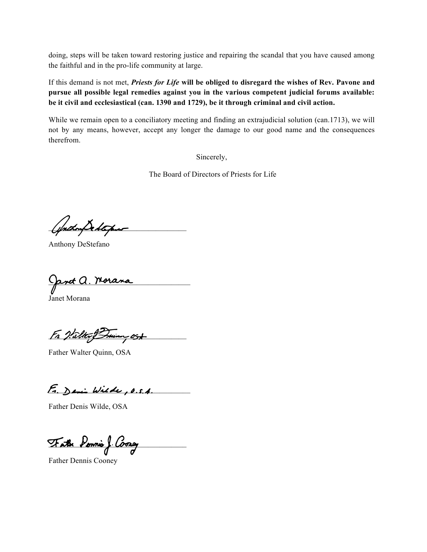doing, steps will be taken toward restoring justice and repairing the scandal that you have caused among the faithful and in the pro-life community at large.

If this demand is not met, *Priests for Life* **will be obliged to disregard the wishes of Rev. Pavone and pursue all possible legal remedies against you in the various competent judicial forums available: be it civil and ecclesiastical (can. 1390 and 1729), be it through criminal and civil action.**

While we remain open to a conciliatory meeting and finding an extrajudicial solution (can.1713), we will not by any means, however, accept any longer the damage to our good name and the consequences therefrom.

Sincerely,

The Board of Directors of Priests for Life

\_\_\_\_\_\_\_\_\_\_\_\_\_\_\_\_\_\_\_\_\_\_\_\_\_\_\_\_\_\_\_\_\_\_\_\_

Anthony DeStefano

<u>ant A. Morana</u>

Janet Morana

Fr Valter Brunn ost

Father Walter Quinn, OSA

 $E.$  Demi Wilde, O.S.A.

Father Denis Wilde, OSA

Fathe Ponnie J. Coong

Father Dennis Cooney